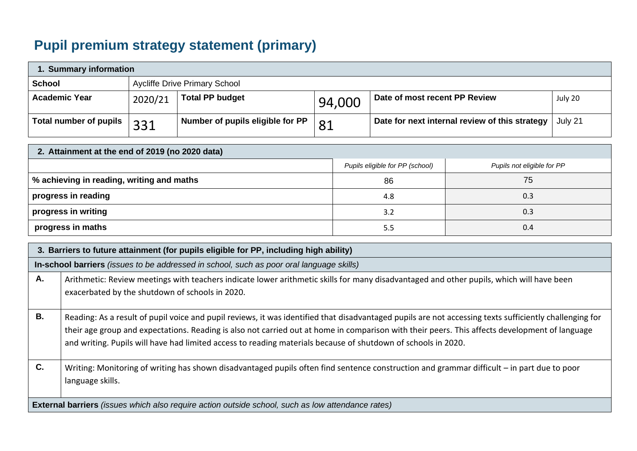## **Pupil premium strategy statement (primary)**

| 1. Summary information        |         |                                      |        |                                                |         |  |  |
|-------------------------------|---------|--------------------------------------|--------|------------------------------------------------|---------|--|--|
| <b>School</b>                 |         | <b>Aycliffe Drive Primary School</b> |        |                                                |         |  |  |
| <b>Academic Year</b>          | 2020/21 | <b>Total PP budget</b>               | 94,000 | Date of most recent PP Review                  | July 20 |  |  |
| <b>Total number of pupils</b> | 331     | Number of pupils eligible for PP     | 81     | Date for next internal review of this strategy | July 21 |  |  |

| 2. Attainment at the end of 2019 (no 2020 data) |                                 |                            |  |  |  |  |  |
|-------------------------------------------------|---------------------------------|----------------------------|--|--|--|--|--|
|                                                 | Pupils eligible for PP (school) | Pupils not eligible for PP |  |  |  |  |  |
| │ % achieving in reading, writing and maths     | 86                              | 75                         |  |  |  |  |  |
| progress in reading                             | 4.8                             | 0.3                        |  |  |  |  |  |
| progress in writing                             | 3.2                             | 0.3                        |  |  |  |  |  |
| progress in maths                               | 5.5                             | 0.4                        |  |  |  |  |  |

|                | 3. Barriers to future attainment (for pupils eligible for PP, including high ability)                                                                                                                                                                                                                                                                                                                                      |  |  |  |  |
|----------------|----------------------------------------------------------------------------------------------------------------------------------------------------------------------------------------------------------------------------------------------------------------------------------------------------------------------------------------------------------------------------------------------------------------------------|--|--|--|--|
|                | In-school barriers (issues to be addressed in school, such as poor oral language skills)                                                                                                                                                                                                                                                                                                                                   |  |  |  |  |
| Α.             | Arithmetic: Review meetings with teachers indicate lower arithmetic skills for many disadvantaged and other pupils, which will have been<br>exacerbated by the shutdown of schools in 2020.                                                                                                                                                                                                                                |  |  |  |  |
| В.             | Reading: As a result of pupil voice and pupil reviews, it was identified that disadvantaged pupils are not accessing texts sufficiently challenging for<br>their age group and expectations. Reading is also not carried out at home in comparison with their peers. This affects development of language<br>and writing. Pupils will have had limited access to reading materials because of shutdown of schools in 2020. |  |  |  |  |
| $\mathbf{C}$ . | Writing: Monitoring of writing has shown disadvantaged pupils often find sentence construction and grammar difficult – in part due to poor<br>language skills.                                                                                                                                                                                                                                                             |  |  |  |  |
|                | External barriers (issues which also require action outside school, such as low attendance rates)                                                                                                                                                                                                                                                                                                                          |  |  |  |  |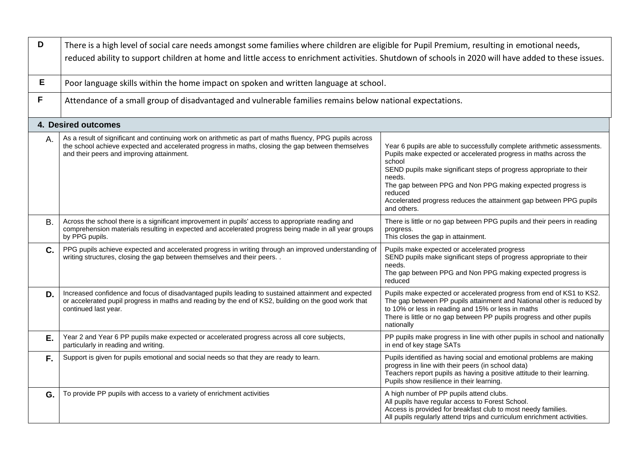| D  | There is a high level of social care needs amongst some families where children are eligible for Pupil Premium, resulting in emotional needs,<br>reduced ability to support children at home and little access to enrichment activities. Shutdown of schools in 2020 will have added to these issues. |                                                                                                                                                                                                                                                                                                                                                                                                       |  |  |  |  |
|----|-------------------------------------------------------------------------------------------------------------------------------------------------------------------------------------------------------------------------------------------------------------------------------------------------------|-------------------------------------------------------------------------------------------------------------------------------------------------------------------------------------------------------------------------------------------------------------------------------------------------------------------------------------------------------------------------------------------------------|--|--|--|--|
| E  | Poor language skills within the home impact on spoken and written language at school.                                                                                                                                                                                                                 |                                                                                                                                                                                                                                                                                                                                                                                                       |  |  |  |  |
| F  | Attendance of a small group of disadvantaged and vulnerable families remains below national expectations.                                                                                                                                                                                             |                                                                                                                                                                                                                                                                                                                                                                                                       |  |  |  |  |
|    | 4. Desired outcomes                                                                                                                                                                                                                                                                                   |                                                                                                                                                                                                                                                                                                                                                                                                       |  |  |  |  |
| Α. | As a result of significant and continuing work on arithmetic as part of maths fluency, PPG pupils across<br>the school achieve expected and accelerated progress in maths, closing the gap between themselves<br>and their peers and improving attainment.                                            | Year 6 pupils are able to successfully complete arithmetic assessments.<br>Pupils make expected or accelerated progress in maths across the<br>school<br>SEND pupils make significant steps of progress appropriate to their<br>needs.<br>The gap between PPG and Non PPG making expected progress is<br>reduced<br>Accelerated progress reduces the attainment gap between PPG pupils<br>and others. |  |  |  |  |
| Β. | Across the school there is a significant improvement in pupils' access to appropriate reading and<br>comprehension materials resulting in expected and accelerated progress being made in all year groups<br>by PPG pupils.                                                                           | There is little or no gap between PPG pupils and their peers in reading<br>progress.<br>This closes the gap in attainment.                                                                                                                                                                                                                                                                            |  |  |  |  |
| C. | PPG pupils achieve expected and accelerated progress in writing through an improved understanding of<br>writing structures, closing the gap between themselves and their peers                                                                                                                        | Pupils make expected or accelerated progress<br>SEND pupils make significant steps of progress appropriate to their<br>needs.<br>The gap between PPG and Non PPG making expected progress is<br>reduced                                                                                                                                                                                               |  |  |  |  |
| D. | Increased confidence and focus of disadvantaged pupils leading to sustained attainment and expected<br>or accelerated pupil progress in maths and reading by the end of KS2, building on the good work that<br>continued last year.                                                                   | Pupils make expected or accelerated progress from end of KS1 to KS2.<br>The gap between PP pupils attainment and National other is reduced by<br>to 10% or less in reading and 15% or less in maths<br>There is little or no gap between PP pupils progress and other pupils<br>nationally                                                                                                            |  |  |  |  |
| Е. | Year 2 and Year 6 PP pupils make expected or accelerated progress across all core subjects,<br>particularly in reading and writing.                                                                                                                                                                   | PP pupils make progress in line with other pupils in school and nationally<br>in end of key stage SATs                                                                                                                                                                                                                                                                                                |  |  |  |  |
| F. | Support is given for pupils emotional and social needs so that they are ready to learn.                                                                                                                                                                                                               | Pupils identified as having social and emotional problems are making<br>progress in line with their peers (in school data)<br>Teachers report pupils as having a positive attitude to their learning.<br>Pupils show resilience in their learning.                                                                                                                                                    |  |  |  |  |
| G. | To provide PP pupils with access to a variety of enrichment activities                                                                                                                                                                                                                                | A high number of PP pupils attend clubs.<br>All pupils have regular access to Forest School.<br>Access is provided for breakfast club to most needy families.<br>All pupils regularly attend trips and curriculum enrichment activities.                                                                                                                                                              |  |  |  |  |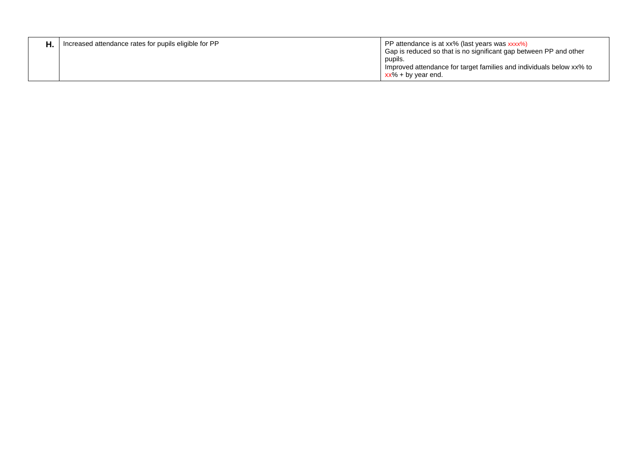| Increased attendance rates for pupils eligible for PP | PP attendance is at xx% (last years was xxxx%)<br>Gap is reduced so that is no significant gap between PP and other<br>pupils. |
|-------------------------------------------------------|--------------------------------------------------------------------------------------------------------------------------------|
|                                                       | Improved attendance for target families and individuals below xx% to<br>$xx\%$ + by year end.                                  |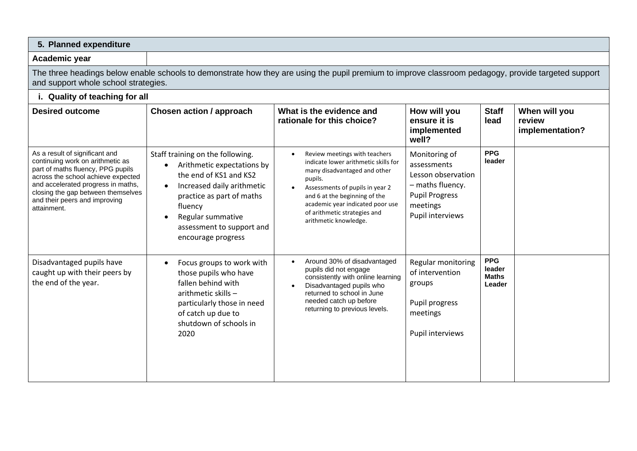| 5. Planned expenditure                                                                                                                                                                                                                                                    |                                                                                                                                                                                                                                                                  |                                                                                                                                                                                                                                                                                                |                                                                                                                                 |                                                |                                            |
|---------------------------------------------------------------------------------------------------------------------------------------------------------------------------------------------------------------------------------------------------------------------------|------------------------------------------------------------------------------------------------------------------------------------------------------------------------------------------------------------------------------------------------------------------|------------------------------------------------------------------------------------------------------------------------------------------------------------------------------------------------------------------------------------------------------------------------------------------------|---------------------------------------------------------------------------------------------------------------------------------|------------------------------------------------|--------------------------------------------|
| Academic year                                                                                                                                                                                                                                                             |                                                                                                                                                                                                                                                                  |                                                                                                                                                                                                                                                                                                |                                                                                                                                 |                                                |                                            |
| and support whole school strategies.                                                                                                                                                                                                                                      |                                                                                                                                                                                                                                                                  | The three headings below enable schools to demonstrate how they are using the pupil premium to improve classroom pedagogy, provide targeted support                                                                                                                                            |                                                                                                                                 |                                                |                                            |
| i. Quality of teaching for all                                                                                                                                                                                                                                            |                                                                                                                                                                                                                                                                  |                                                                                                                                                                                                                                                                                                |                                                                                                                                 |                                                |                                            |
| <b>Desired outcome</b>                                                                                                                                                                                                                                                    | <b>Chosen action / approach</b>                                                                                                                                                                                                                                  | What is the evidence and<br>rationale for this choice?                                                                                                                                                                                                                                         | How will you<br>ensure it is<br>implemented<br>well?                                                                            | <b>Staff</b><br>lead                           | When will you<br>review<br>implementation? |
| As a result of significant and<br>continuing work on arithmetic as<br>part of maths fluency, PPG pupils<br>across the school achieve expected<br>and accelerated progress in maths,<br>closing the gap between themselves<br>and their peers and improving<br>attainment. | Staff training on the following.<br>Arithmetic expectations by<br>$\bullet$<br>the end of KS1 and KS2<br>Increased daily arithmetic<br>$\bullet$<br>practice as part of maths<br>fluency<br>Regular summative<br>assessment to support and<br>encourage progress | Review meetings with teachers<br>$\bullet$<br>indicate lower arithmetic skills for<br>many disadvantaged and other<br>pupils.<br>Assessments of pupils in year 2<br>and 6 at the beginning of the<br>academic year indicated poor use<br>of arithmetic strategies and<br>arithmetic knowledge. | Monitoring of<br>assessments<br>Lesson observation<br>- maths fluency.<br><b>Pupil Progress</b><br>meetings<br>Pupil interviews | <b>PPG</b><br>leader                           |                                            |
| Disadvantaged pupils have<br>caught up with their peers by<br>the end of the year.                                                                                                                                                                                        | Focus groups to work with<br>those pupils who have<br>fallen behind with<br>arithmetic skills -<br>particularly those in need<br>of catch up due to<br>shutdown of schools in<br>2020                                                                            | Around 30% of disadvantaged<br>$\bullet$<br>pupils did not engage<br>consistently with online learning<br>Disadvantaged pupils who<br>returned to school in June<br>needed catch up before<br>returning to previous levels.                                                                    | Regular monitoring<br>of intervention<br>groups<br>Pupil progress<br>meetings<br>Pupil interviews                               | <b>PPG</b><br>leader<br><b>Maths</b><br>Leader |                                            |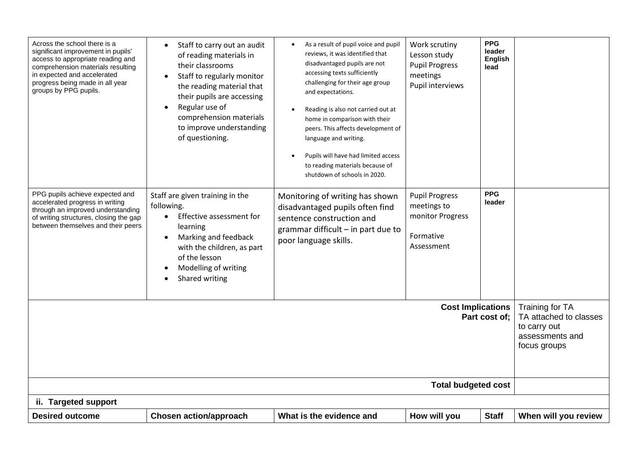| Across the school there is a<br>significant improvement in pupils'<br>access to appropriate reading and<br>comprehension materials resulting<br>in expected and accelerated<br>progress being made in all year<br>groups by PPG pupils. | Staff to carry out an audit<br>of reading materials in<br>their classrooms<br>Staff to regularly monitor<br>the reading material that<br>their pupils are accessing<br>Regular use of<br>comprehension materials<br>to improve understanding<br>of questioning. | As a result of pupil voice and pupil<br>reviews, it was identified that<br>disadvantaged pupils are not<br>accessing texts sufficiently<br>challenging for their age group<br>and expectations.<br>Reading is also not carried out at<br>home in comparison with their<br>peers. This affects development of<br>language and writing.<br>Pupils will have had limited access<br>to reading materials because of<br>shutdown of schools in 2020. | Work scrutiny<br>Lesson study<br><b>Pupil Progress</b><br>meetings<br>Pupil interviews | <b>PPG</b><br>leader<br><b>English</b><br>lead |                                                                                              |
|-----------------------------------------------------------------------------------------------------------------------------------------------------------------------------------------------------------------------------------------|-----------------------------------------------------------------------------------------------------------------------------------------------------------------------------------------------------------------------------------------------------------------|-------------------------------------------------------------------------------------------------------------------------------------------------------------------------------------------------------------------------------------------------------------------------------------------------------------------------------------------------------------------------------------------------------------------------------------------------|----------------------------------------------------------------------------------------|------------------------------------------------|----------------------------------------------------------------------------------------------|
| PPG pupils achieve expected and<br>accelerated progress in writing<br>through an improved understanding<br>of writing structures, closing the gap<br>between themselves and their peers                                                 | Staff are given training in the<br>following.<br>Effective assessment for<br>learning<br>Marking and feedback<br>with the children, as part<br>of the lesson<br>Modelling of writing<br>Shared writing                                                          | Monitoring of writing has shown<br>disadvantaged pupils often find<br>sentence construction and<br>grammar difficult $-$ in part due to<br>poor language skills.                                                                                                                                                                                                                                                                                | <b>Pupil Progress</b><br>meetings to<br>monitor Progress<br>Formative<br>Assessment    | <b>PPG</b><br>leader                           |                                                                                              |
| <b>Cost Implications</b><br>Part cost of:                                                                                                                                                                                               |                                                                                                                                                                                                                                                                 |                                                                                                                                                                                                                                                                                                                                                                                                                                                 |                                                                                        |                                                | Training for TA<br>TA attached to classes<br>to carry out<br>assessments and<br>focus groups |
| <b>Total budgeted cost</b>                                                                                                                                                                                                              |                                                                                                                                                                                                                                                                 |                                                                                                                                                                                                                                                                                                                                                                                                                                                 |                                                                                        |                                                |                                                                                              |
| ii. Targeted support<br><b>Desired outcome</b>                                                                                                                                                                                          | <b>Chosen action/approach</b>                                                                                                                                                                                                                                   | What is the evidence and                                                                                                                                                                                                                                                                                                                                                                                                                        | How will you                                                                           | <b>Staff</b>                                   | When will you review                                                                         |
|                                                                                                                                                                                                                                         |                                                                                                                                                                                                                                                                 |                                                                                                                                                                                                                                                                                                                                                                                                                                                 |                                                                                        |                                                |                                                                                              |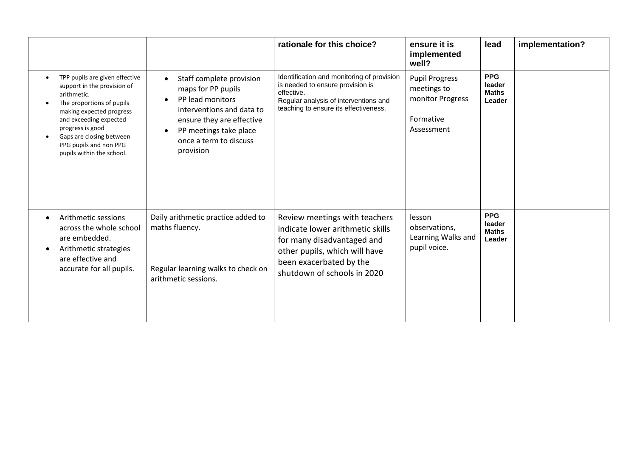|                                                                                                                                                                                                                                                                                                               |                                                                                                                                                                                               | rationale for this choice?                                                                                                                                                                 | ensure it is<br>implemented<br>well?                                                | lead                                           | implementation? |
|---------------------------------------------------------------------------------------------------------------------------------------------------------------------------------------------------------------------------------------------------------------------------------------------------------------|-----------------------------------------------------------------------------------------------------------------------------------------------------------------------------------------------|--------------------------------------------------------------------------------------------------------------------------------------------------------------------------------------------|-------------------------------------------------------------------------------------|------------------------------------------------|-----------------|
| TPP pupils are given effective<br>$\bullet$<br>support in the provision of<br>arithmetic.<br>The proportions of pupils<br>$\bullet$<br>making expected progress<br>and exceeding expected<br>progress is good<br>Gaps are closing between<br>$\bullet$<br>PPG pupils and non PPG<br>pupils within the school. | Staff complete provision<br>maps for PP pupils<br>PP lead monitors<br>interventions and data to<br>ensure they are effective<br>PP meetings take place<br>once a term to discuss<br>provision | Identification and monitoring of provision<br>is needed to ensure provision is<br>effective.<br>Regular analysis of interventions and<br>teaching to ensure its effectiveness.             | <b>Pupil Progress</b><br>meetings to<br>monitor Progress<br>Formative<br>Assessment | <b>PPG</b><br>leader<br><b>Maths</b><br>Leader |                 |
| Arithmetic sessions<br>$\bullet$<br>across the whole school<br>are embedded.<br>Arithmetic strategies<br>$\bullet$<br>are effective and<br>accurate for all pupils.                                                                                                                                           | Daily arithmetic practice added to<br>maths fluency.<br>Regular learning walks to check on<br>arithmetic sessions.                                                                            | Review meetings with teachers<br>indicate lower arithmetic skills<br>for many disadvantaged and<br>other pupils, which will have<br>been exacerbated by the<br>shutdown of schools in 2020 | lesson<br>observations,<br>Learning Walks and<br>pupil voice.                       | <b>PPG</b><br>leader<br><b>Maths</b><br>Leader |                 |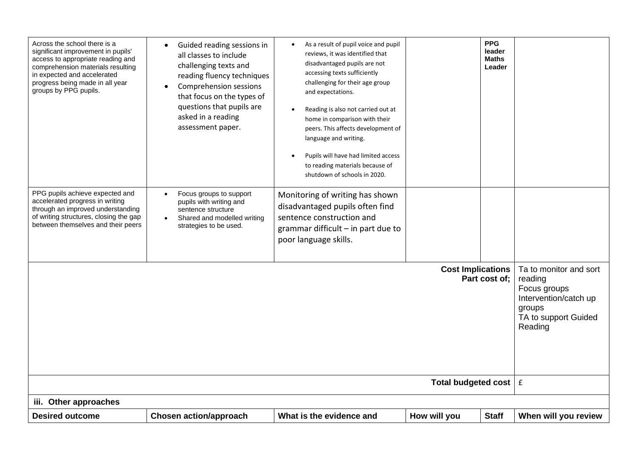| Across the school there is a<br>significant improvement in pupils'<br>access to appropriate reading and<br>comprehension materials resulting<br>in expected and accelerated<br>progress being made in all year<br>groups by PPG pupils. | Guided reading sessions in<br>all classes to include<br>challenging texts and<br>reading fluency techniques<br>Comprehension sessions<br>that focus on the types of<br>questions that pupils are<br>asked in a reading<br>assessment paper. | As a result of pupil voice and pupil<br>$\bullet$<br>reviews, it was identified that<br>disadvantaged pupils are not<br>accessing texts sufficiently<br>challenging for their age group<br>and expectations.<br>Reading is also not carried out at<br>home in comparison with their<br>peers. This affects development of<br>language and writing.<br>Pupils will have had limited access<br>to reading materials because of<br>shutdown of schools in 2020. |                               | <b>PPG</b><br>leader<br><b>Maths</b><br>Leader |                                                                                                                         |
|-----------------------------------------------------------------------------------------------------------------------------------------------------------------------------------------------------------------------------------------|---------------------------------------------------------------------------------------------------------------------------------------------------------------------------------------------------------------------------------------------|--------------------------------------------------------------------------------------------------------------------------------------------------------------------------------------------------------------------------------------------------------------------------------------------------------------------------------------------------------------------------------------------------------------------------------------------------------------|-------------------------------|------------------------------------------------|-------------------------------------------------------------------------------------------------------------------------|
| PPG pupils achieve expected and<br>accelerated progress in writing<br>through an improved understanding<br>of writing structures, closing the gap<br>between themselves and their peers                                                 | Focus groups to support<br>pupils with writing and<br>sentence structure<br>Shared and modelled writing<br>$\bullet$<br>strategies to be used.                                                                                              | Monitoring of writing has shown<br>disadvantaged pupils often find<br>sentence construction and<br>grammar difficult $-$ in part due to<br>poor language skills.                                                                                                                                                                                                                                                                                             |                               |                                                |                                                                                                                         |
|                                                                                                                                                                                                                                         |                                                                                                                                                                                                                                             |                                                                                                                                                                                                                                                                                                                                                                                                                                                              | <b>Cost Implications</b>      | Part cost of:                                  | Ta to monitor and sort<br>reading<br>Focus groups<br>Intervention/catch up<br>groups<br>TA to support Guided<br>Reading |
|                                                                                                                                                                                                                                         |                                                                                                                                                                                                                                             |                                                                                                                                                                                                                                                                                                                                                                                                                                                              | Total budgeted cost $\vert$ f |                                                |                                                                                                                         |
| iii. Other approaches                                                                                                                                                                                                                   |                                                                                                                                                                                                                                             |                                                                                                                                                                                                                                                                                                                                                                                                                                                              |                               |                                                |                                                                                                                         |
| <b>Desired outcome</b>                                                                                                                                                                                                                  | <b>Chosen action/approach</b>                                                                                                                                                                                                               | What is the evidence and                                                                                                                                                                                                                                                                                                                                                                                                                                     | How will you                  | <b>Staff</b>                                   | When will you review                                                                                                    |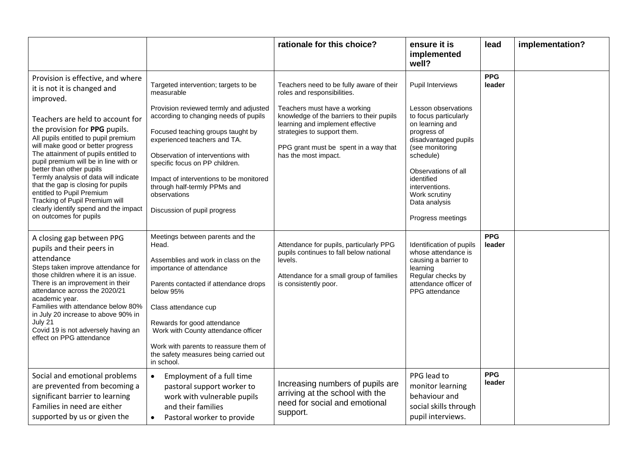|                                                                                                                                                                                                                                                                                                                                                                                                                                                                                            |                                                                                                                                                                                                                                                                                                                                                                              | rationale for this choice?                                                                                                                                                                                                                                                               | ensure it is<br>implemented<br>well?                                                                                                                                                                                                                | lead                 | implementation? |
|--------------------------------------------------------------------------------------------------------------------------------------------------------------------------------------------------------------------------------------------------------------------------------------------------------------------------------------------------------------------------------------------------------------------------------------------------------------------------------------------|------------------------------------------------------------------------------------------------------------------------------------------------------------------------------------------------------------------------------------------------------------------------------------------------------------------------------------------------------------------------------|------------------------------------------------------------------------------------------------------------------------------------------------------------------------------------------------------------------------------------------------------------------------------------------|-----------------------------------------------------------------------------------------------------------------------------------------------------------------------------------------------------------------------------------------------------|----------------------|-----------------|
| Provision is effective, and where<br>it is not it is changed and<br>improved.<br>Teachers are held to account for<br>the provision for PPG pupils.<br>All pupils entitled to pupil premium<br>will make good or better progress<br>The attainment of pupils entitled to<br>pupil premium will be in line with or<br>better than other pupils<br>Termly analysis of data will indicate<br>that the gap is closing for pupils<br>entitled to Pupil Premium<br>Tracking of Pupil Premium will | Targeted intervention; targets to be<br>measurable<br>Provision reviewed termly and adjusted<br>according to changing needs of pupils<br>Focused teaching groups taught by<br>experienced teachers and TA.<br>Observation of interventions with<br>specific focus on PP children.<br>Impact of interventions to be monitored<br>through half-termly PPMs and<br>observations | Teachers need to be fully aware of their<br>roles and responsibilities.<br>Teachers must have a working<br>knowledge of the barriers to their pupils<br>learning and implement effective<br>strategies to support them.<br>PPG grant must be spent in a way that<br>has the most impact. | Pupil Interviews<br>Lesson observations<br>to focus particularly<br>on learning and<br>progress of<br>disadvantaged pupils<br>(see monitoring<br>schedule)<br>Observations of all<br>identified<br>interventions.<br>Work scrutiny<br>Data analysis | <b>PPG</b><br>leader |                 |
| clearly identify spend and the impact<br>on outcomes for pupils                                                                                                                                                                                                                                                                                                                                                                                                                            | Discussion of pupil progress                                                                                                                                                                                                                                                                                                                                                 |                                                                                                                                                                                                                                                                                          | Progress meetings                                                                                                                                                                                                                                   |                      |                 |
| A closing gap between PPG<br>pupils and their peers in<br>attendance<br>Steps taken improve attendance for<br>those children where it is an issue.<br>There is an improvement in their<br>attendance across the 2020/21<br>academic year.<br>Families with attendance below 80%<br>in July 20 increase to above 90% in<br>July 21<br>Covid 19 is not adversely having an<br>effect on PPG attendance                                                                                       | Meetings between parents and the<br>Head.<br>Assemblies and work in class on the<br>importance of attendance<br>Parents contacted if attendance drops<br>below 95%<br>Class attendance cup<br>Rewards for good attendance<br>Work with County attendance officer<br>Work with parents to reassure them of<br>the safety measures being carried out<br>in school.             | Attendance for pupils, particularly PPG<br>pupils continues to fall below national<br>levels.<br>Attendance for a small group of families<br>is consistently poor.                                                                                                                       | Identification of pupils<br>whose attendance is<br>causing a barrier to<br>learning<br>Regular checks by<br>attendance officer of<br>PPG attendance                                                                                                 | <b>PPG</b><br>leader |                 |
| Social and emotional problems<br>are prevented from becoming a<br>significant barrier to learning<br>Families in need are either<br>supported by us or given the                                                                                                                                                                                                                                                                                                                           | Employment of a full time<br>$\bullet$<br>pastoral support worker to<br>work with vulnerable pupils<br>and their families<br>Pastoral worker to provide<br>$\bullet$                                                                                                                                                                                                         | Increasing numbers of pupils are<br>arriving at the school with the<br>need for social and emotional<br>support.                                                                                                                                                                         | PPG lead to<br>monitor learning<br>behaviour and<br>social skills through<br>pupil interviews.                                                                                                                                                      | <b>PPG</b><br>leader |                 |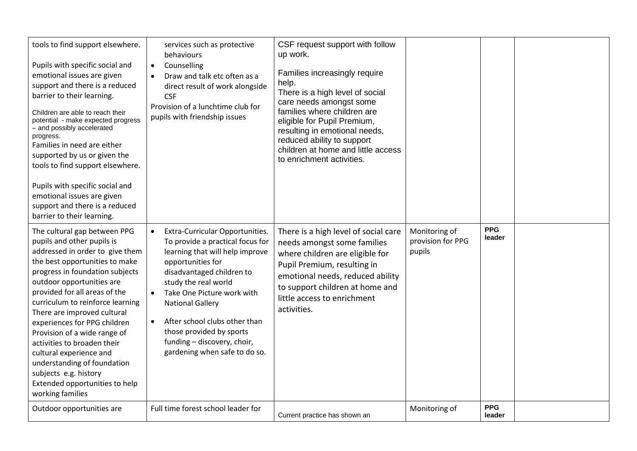| tools to find support elsewhere.<br>Pupils with specific social and<br>emotional issues are given<br>support and there is a reduced<br>barrier to their learning.<br>Children are able to reach their<br>potential - make expected progress<br>- and possibly accelerated<br>progress.<br>Families in need are either<br>supported by us or given the<br>tools to find support elsewhere.<br>Pupils with specific social and<br>emotional issues are given<br>support and there is a reduced<br>barrier to their learning.                  | services such as protective<br>behaviours<br>Counselling<br>$\bullet$<br>Draw and talk etc often as a<br>$\bullet$<br>direct result of work alongside<br><b>CSF</b><br>Provision of a lunchtime club for<br>pupils with friendship issues                                                                                                                                                                     | CSF request support with follow<br>up work.<br>Families increasingly require<br>help.<br>There is a high level of social<br>care needs amongst some<br>families where children are<br>eligible for Pupil Premium,<br>resulting in emotional needs,<br>reduced ability to support<br>children at home and little access<br>to enrichment activities. |                                              |                      |  |
|---------------------------------------------------------------------------------------------------------------------------------------------------------------------------------------------------------------------------------------------------------------------------------------------------------------------------------------------------------------------------------------------------------------------------------------------------------------------------------------------------------------------------------------------|---------------------------------------------------------------------------------------------------------------------------------------------------------------------------------------------------------------------------------------------------------------------------------------------------------------------------------------------------------------------------------------------------------------|-----------------------------------------------------------------------------------------------------------------------------------------------------------------------------------------------------------------------------------------------------------------------------------------------------------------------------------------------------|----------------------------------------------|----------------------|--|
| The cultural gap between PPG<br>pupils and other pupils is<br>addressed in order to give them<br>the best opportunities to make<br>progress in foundation subjects<br>outdoor opportunities are<br>provided for all areas of the<br>curriculum to reinforce learning<br>There are improved cultural<br>experiences for PPG children<br>Provision of a wide range of<br>activities to broaden their<br>cultural experience and<br>understanding of foundation<br>subjects e.g. history<br>Extended opportunities to help<br>working families | Extra-Curricular Opportunities.<br>$\bullet$<br>To provide a practical focus for<br>learning that will help improve<br>opportunities for<br>disadvantaged children to<br>study the real world<br>Take One Picture work with<br>$\bullet$<br><b>National Gallery</b><br>After school clubs other than<br>$\bullet$<br>those provided by sports<br>funding - discovery, choir,<br>gardening when safe to do so. | There is a high level of social care<br>needs amongst some families<br>where children are eligible for<br>Pupil Premium, resulting in<br>emotional needs, reduced ability<br>to support children at home and<br>little access to enrichment<br>activities.                                                                                          | Monitoring of<br>provision for PPG<br>pupils | <b>PPG</b><br>leader |  |
| Outdoor opportunities are                                                                                                                                                                                                                                                                                                                                                                                                                                                                                                                   | Full time forest school leader for                                                                                                                                                                                                                                                                                                                                                                            | Current practice has shown an                                                                                                                                                                                                                                                                                                                       | Monitoring of                                | <b>PPG</b><br>leader |  |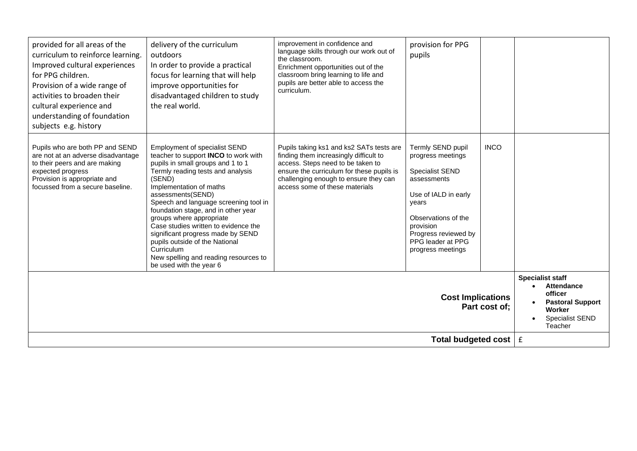| provided for all areas of the<br>curriculum to reinforce learning.<br>Improved cultural experiences<br>for PPG children.<br>Provision of a wide range of<br>activities to broaden their<br>cultural experience and<br>understanding of foundation<br>subjects e.g. history | delivery of the curriculum<br>outdoors<br>In order to provide a practical<br>focus for learning that will help<br>improve opportunities for<br>disadvantaged children to study<br>the real world.                                                                                                                                                                                                                                                                                                                             | improvement in confidence and<br>language skills through our work out of<br>the classroom.<br>Enrichment opportunities out of the<br>classroom bring learning to life and<br>pupils are better able to access the<br>curriculum.                | provision for PPG<br>pupils                                                                                                                                                                                            |             |                                                                                                                                   |
|----------------------------------------------------------------------------------------------------------------------------------------------------------------------------------------------------------------------------------------------------------------------------|-------------------------------------------------------------------------------------------------------------------------------------------------------------------------------------------------------------------------------------------------------------------------------------------------------------------------------------------------------------------------------------------------------------------------------------------------------------------------------------------------------------------------------|-------------------------------------------------------------------------------------------------------------------------------------------------------------------------------------------------------------------------------------------------|------------------------------------------------------------------------------------------------------------------------------------------------------------------------------------------------------------------------|-------------|-----------------------------------------------------------------------------------------------------------------------------------|
| Pupils who are both PP and SEND<br>are not at an adverse disadvantage<br>to their peers and are making<br>expected progress<br>Provision is appropriate and<br>focussed from a secure baseline.                                                                            | <b>Employment of specialist SEND</b><br>teacher to support INCO to work with<br>pupils in small groups and 1 to 1<br>Termly reading tests and analysis<br>(SEND)<br>Implementation of maths<br>assessments(SEND)<br>Speech and language screening tool in<br>foundation stage, and in other year<br>groups where appropriate<br>Case studies written to evidence the<br>significant progress made by SEND<br>pupils outside of the National<br>Curriculum<br>New spelling and reading resources to<br>be used with the year 6 | Pupils taking ks1 and ks2 SATs tests are<br>finding them increasingly difficult to<br>access. Steps need to be taken to<br>ensure the curriculum for these pupils is<br>challenging enough to ensure they can<br>access some of these materials | Termly SEND pupil<br>progress meetings<br><b>Specialist SEND</b><br>assessments<br>Use of IALD in early<br>years<br>Observations of the<br>provision<br>Progress reviewed by<br>PPG leader at PPG<br>progress meetings | <b>INCO</b> |                                                                                                                                   |
| <b>Cost Implications</b><br>Part cost of:                                                                                                                                                                                                                                  |                                                                                                                                                                                                                                                                                                                                                                                                                                                                                                                               |                                                                                                                                                                                                                                                 |                                                                                                                                                                                                                        |             | <b>Specialist staff</b><br><b>Attendance</b><br>officer<br><b>Pastoral Support</b><br>Worker<br><b>Specialist SEND</b><br>Teacher |
| Total budgeted cost $\mathbf{f}$ f                                                                                                                                                                                                                                         |                                                                                                                                                                                                                                                                                                                                                                                                                                                                                                                               |                                                                                                                                                                                                                                                 |                                                                                                                                                                                                                        |             |                                                                                                                                   |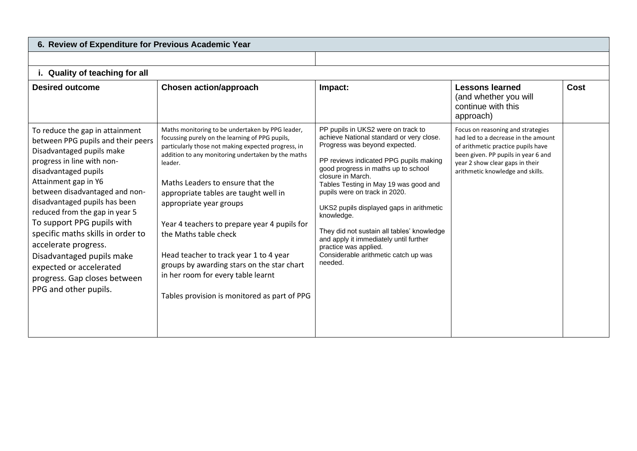| 6. Review of Expenditure for Previous Academic Year                                                                                                                                                                                                                                                                                                                                                                                                                                               |                                                                                                                                                                                                                                                                                                                                                                                                                                                                                                                                                                                            |                                                                                                                                                                                                                                                                                                                                                                                                                                                                                                                               |                                                                                                                                                                                                                              |      |
|---------------------------------------------------------------------------------------------------------------------------------------------------------------------------------------------------------------------------------------------------------------------------------------------------------------------------------------------------------------------------------------------------------------------------------------------------------------------------------------------------|--------------------------------------------------------------------------------------------------------------------------------------------------------------------------------------------------------------------------------------------------------------------------------------------------------------------------------------------------------------------------------------------------------------------------------------------------------------------------------------------------------------------------------------------------------------------------------------------|-------------------------------------------------------------------------------------------------------------------------------------------------------------------------------------------------------------------------------------------------------------------------------------------------------------------------------------------------------------------------------------------------------------------------------------------------------------------------------------------------------------------------------|------------------------------------------------------------------------------------------------------------------------------------------------------------------------------------------------------------------------------|------|
|                                                                                                                                                                                                                                                                                                                                                                                                                                                                                                   |                                                                                                                                                                                                                                                                                                                                                                                                                                                                                                                                                                                            |                                                                                                                                                                                                                                                                                                                                                                                                                                                                                                                               |                                                                                                                                                                                                                              |      |
| i. Quality of teaching for all                                                                                                                                                                                                                                                                                                                                                                                                                                                                    |                                                                                                                                                                                                                                                                                                                                                                                                                                                                                                                                                                                            |                                                                                                                                                                                                                                                                                                                                                                                                                                                                                                                               |                                                                                                                                                                                                                              |      |
| <b>Desired outcome</b>                                                                                                                                                                                                                                                                                                                                                                                                                                                                            | <b>Chosen action/approach</b>                                                                                                                                                                                                                                                                                                                                                                                                                                                                                                                                                              | Impact:                                                                                                                                                                                                                                                                                                                                                                                                                                                                                                                       | <b>Lessons learned</b><br>(and whether you will<br>continue with this<br>approach)                                                                                                                                           | Cost |
| To reduce the gap in attainment<br>between PPG pupils and their peers<br>Disadvantaged pupils make<br>progress in line with non-<br>disadvantaged pupils<br>Attainment gap in Y6<br>between disadvantaged and non-<br>disadvantaged pupils has been<br>reduced from the gap in year 5<br>To support PPG pupils with<br>specific maths skills in order to<br>accelerate progress.<br>Disadvantaged pupils make<br>expected or accelerated<br>progress. Gap closes between<br>PPG and other pupils. | Maths monitoring to be undertaken by PPG leader,<br>focussing purely on the learning of PPG pupils,<br>particularly those not making expected progress, in<br>addition to any monitoring undertaken by the maths<br>leader.<br>Maths Leaders to ensure that the<br>appropriate tables are taught well in<br>appropriate year groups<br>Year 4 teachers to prepare year 4 pupils for<br>the Maths table check<br>Head teacher to track year 1 to 4 year<br>groups by awarding stars on the star chart<br>in her room for every table learnt<br>Tables provision is monitored as part of PPG | PP pupils in UKS2 were on track to<br>achieve National standard or very close.<br>Progress was beyond expected.<br>PP reviews indicated PPG pupils making<br>good progress in maths up to school<br>closure in March.<br>Tables Testing in May 19 was good and<br>pupils were on track in 2020.<br>UKS2 pupils displayed gaps in arithmetic<br>knowledge.<br>They did not sustain all tables' knowledge<br>and apply it immediately until further<br>practice was applied.<br>Considerable arithmetic catch up was<br>needed. | Focus on reasoning and strategies<br>had led to a decrease in the amount<br>of arithmetic practice pupils have<br>been given. PP pupils in year 6 and<br>year 2 show clear gaps in their<br>arithmetic knowledge and skills. |      |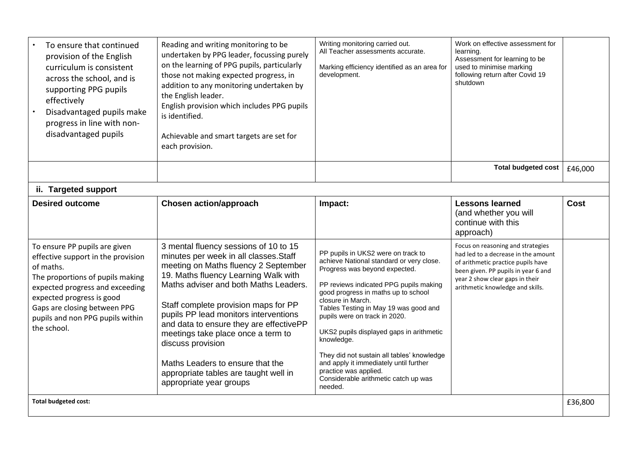| To ensure that continued<br>provision of the English<br>curriculum is consistent<br>across the school, and is<br>supporting PPG pupils<br>effectively<br>Disadvantaged pupils make<br>progress in line with non-<br>disadvantaged pupils                                | Reading and writing monitoring to be<br>undertaken by PPG leader, focussing purely<br>on the learning of PPG pupils, particularly<br>those not making expected progress, in<br>addition to any monitoring undertaken by<br>the English leader.<br>English provision which includes PPG pupils<br>is identified.<br>Achievable and smart targets are set for<br>each provision.                                                                                                                          | Writing monitoring carried out.<br>All Teacher assessments accurate.<br>Marking efficiency identified as an area for<br>development.                                                                                                                                                                                                                                                                                                                                                                                          | Work on effective assessment for<br>learning.<br>Assessment for learning to be<br>used to minimise marking<br>following return after Covid 19<br>shutdown                                                                    |         |
|-------------------------------------------------------------------------------------------------------------------------------------------------------------------------------------------------------------------------------------------------------------------------|---------------------------------------------------------------------------------------------------------------------------------------------------------------------------------------------------------------------------------------------------------------------------------------------------------------------------------------------------------------------------------------------------------------------------------------------------------------------------------------------------------|-------------------------------------------------------------------------------------------------------------------------------------------------------------------------------------------------------------------------------------------------------------------------------------------------------------------------------------------------------------------------------------------------------------------------------------------------------------------------------------------------------------------------------|------------------------------------------------------------------------------------------------------------------------------------------------------------------------------------------------------------------------------|---------|
|                                                                                                                                                                                                                                                                         |                                                                                                                                                                                                                                                                                                                                                                                                                                                                                                         |                                                                                                                                                                                                                                                                                                                                                                                                                                                                                                                               | <b>Total budgeted cost</b>                                                                                                                                                                                                   | £46,000 |
| ii. Targeted support                                                                                                                                                                                                                                                    |                                                                                                                                                                                                                                                                                                                                                                                                                                                                                                         |                                                                                                                                                                                                                                                                                                                                                                                                                                                                                                                               |                                                                                                                                                                                                                              |         |
| <b>Desired outcome</b>                                                                                                                                                                                                                                                  | <b>Chosen action/approach</b>                                                                                                                                                                                                                                                                                                                                                                                                                                                                           | Impact:                                                                                                                                                                                                                                                                                                                                                                                                                                                                                                                       | <b>Lessons learned</b><br>(and whether you will<br>continue with this<br>approach)                                                                                                                                           | Cost    |
| To ensure PP pupils are given<br>effective support in the provision<br>of maths.<br>The proportions of pupils making<br>expected progress and exceeding<br>expected progress is good<br>Gaps are closing between PPG<br>pupils and non PPG pupils within<br>the school. | 3 mental fluency sessions of 10 to 15<br>minutes per week in all classes. Staff<br>meeting on Maths fluency 2 September<br>19. Maths fluency Learning Walk with<br>Maths adviser and both Maths Leaders.<br>Staff complete provision maps for PP<br>pupils PP lead monitors interventions<br>and data to ensure they are effectivePP<br>meetings take place once a term to<br>discuss provision<br>Maths Leaders to ensure that the<br>appropriate tables are taught well in<br>appropriate year groups | PP pupils in UKS2 were on track to<br>achieve National standard or very close.<br>Progress was beyond expected.<br>PP reviews indicated PPG pupils making<br>good progress in maths up to school<br>closure in March.<br>Tables Testing in May 19 was good and<br>pupils were on track in 2020.<br>UKS2 pupils displayed gaps in arithmetic<br>knowledge.<br>They did not sustain all tables' knowledge<br>and apply it immediately until further<br>practice was applied.<br>Considerable arithmetic catch up was<br>needed. | Focus on reasoning and strategies<br>had led to a decrease in the amount<br>of arithmetic practice pupils have<br>been given. PP pupils in year 6 and<br>year 2 show clear gaps in their<br>arithmetic knowledge and skills. |         |
| <b>Total budgeted cost:</b>                                                                                                                                                                                                                                             |                                                                                                                                                                                                                                                                                                                                                                                                                                                                                                         |                                                                                                                                                                                                                                                                                                                                                                                                                                                                                                                               |                                                                                                                                                                                                                              | £36,800 |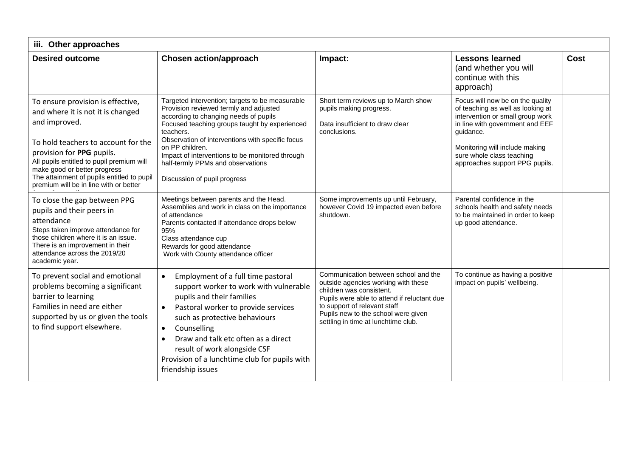| iii. Other approaches                                                                                                                                                                                                                                                                                                            |                                                                                                                                                                                                                                                                                                                                                                                                 |                                                                                                                                                                                                                                                                      |                                                                                                                                                                                                                                                            |      |  |
|----------------------------------------------------------------------------------------------------------------------------------------------------------------------------------------------------------------------------------------------------------------------------------------------------------------------------------|-------------------------------------------------------------------------------------------------------------------------------------------------------------------------------------------------------------------------------------------------------------------------------------------------------------------------------------------------------------------------------------------------|----------------------------------------------------------------------------------------------------------------------------------------------------------------------------------------------------------------------------------------------------------------------|------------------------------------------------------------------------------------------------------------------------------------------------------------------------------------------------------------------------------------------------------------|------|--|
| <b>Desired outcome</b>                                                                                                                                                                                                                                                                                                           | <b>Chosen action/approach</b>                                                                                                                                                                                                                                                                                                                                                                   | Impact:                                                                                                                                                                                                                                                              | <b>Lessons learned</b><br>(and whether you will<br>continue with this<br>approach)                                                                                                                                                                         | Cost |  |
| To ensure provision is effective,<br>and where it is not it is changed<br>and improved.<br>To hold teachers to account for the<br>provision for PPG pupils.<br>All pupils entitled to pupil premium will<br>make good or better progress<br>The attainment of pupils entitled to pupil<br>premium will be in line with or better | Targeted intervention; targets to be measurable<br>Provision reviewed termly and adjusted<br>according to changing needs of pupils<br>Focused teaching groups taught by experienced<br>teachers.<br>Observation of interventions with specific focus<br>on PP children.<br>Impact of interventions to be monitored through<br>half-termly PPMs and observations<br>Discussion of pupil progress | Short term reviews up to March show<br>pupils making progress.<br>Data insufficient to draw clear<br>conclusions.                                                                                                                                                    | Focus will now be on the quality<br>of teaching as well as looking at<br>intervention or small group work<br>in line with government and EEF<br>guidance.<br>Monitoring will include making<br>sure whole class teaching<br>approaches support PPG pupils. |      |  |
| To close the gap between PPG<br>pupils and their peers in<br>attendance<br>Steps taken improve attendance for<br>those children where it is an issue.<br>There is an improvement in their<br>attendance across the 2019/20<br>academic year.                                                                                     | Meetings between parents and the Head.<br>Assemblies and work in class on the importance<br>of attendance<br>Parents contacted if attendance drops below<br>95%<br>Class attendance cup<br>Rewards for good attendance<br>Work with County attendance officer                                                                                                                                   | Some improvements up until February,<br>however Covid 19 impacted even before<br>shutdown.                                                                                                                                                                           | Parental confidence in the<br>schools health and safety needs<br>to be maintained in order to keep<br>up good attendance.                                                                                                                                  |      |  |
| To prevent social and emotional<br>problems becoming a significant<br>barrier to learning<br>Families in need are either<br>supported by us or given the tools<br>to find support elsewhere.                                                                                                                                     | Employment of a full time pastoral<br>$\bullet$<br>support worker to work with vulnerable<br>pupils and their families<br>Pastoral worker to provide services<br>such as protective behaviours<br>Counselling<br>$\bullet$<br>Draw and talk etc often as a direct<br>$\bullet$<br>result of work alongside CSF<br>Provision of a lunchtime club for pupils with<br>friendship issues            | Communication between school and the<br>outside agencies working with these<br>children was consistent.<br>Pupils were able to attend if reluctant due<br>to support of relevant staff<br>Pupils new to the school were given<br>settling in time at lunchtime club. | To continue as having a positive<br>impact on pupils' wellbeing.                                                                                                                                                                                           |      |  |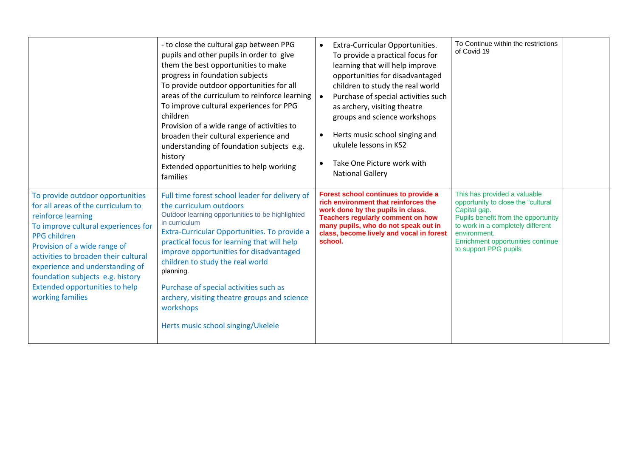|                                                                                                                                                                                                                                                                                                                                                                        | - to close the cultural gap between PPG<br>pupils and other pupils in order to give<br>them the best opportunities to make<br>progress in foundation subjects<br>To provide outdoor opportunities for all<br>areas of the curriculum to reinforce learning<br>To improve cultural experiences for PPG<br>children<br>Provision of a wide range of activities to<br>broaden their cultural experience and<br>understanding of foundation subjects e.g.<br>history<br>Extended opportunities to help working<br>families | Extra-Curricular Opportunities.<br>To provide a practical focus for<br>learning that will help improve<br>opportunities for disadvantaged<br>children to study the real world<br>Purchase of special activities such<br>as archery, visiting theatre<br>groups and science workshops<br>Herts music school singing and<br>$\bullet$<br>ukulele lessons in KS2<br>Take One Picture work with<br>$\bullet$<br><b>National Gallery</b> | To Continue within the restrictions<br>of Covid 19                                                                                                                                                                                           |  |
|------------------------------------------------------------------------------------------------------------------------------------------------------------------------------------------------------------------------------------------------------------------------------------------------------------------------------------------------------------------------|------------------------------------------------------------------------------------------------------------------------------------------------------------------------------------------------------------------------------------------------------------------------------------------------------------------------------------------------------------------------------------------------------------------------------------------------------------------------------------------------------------------------|-------------------------------------------------------------------------------------------------------------------------------------------------------------------------------------------------------------------------------------------------------------------------------------------------------------------------------------------------------------------------------------------------------------------------------------|----------------------------------------------------------------------------------------------------------------------------------------------------------------------------------------------------------------------------------------------|--|
| To provide outdoor opportunities<br>for all areas of the curriculum to<br>reinforce learning<br>To improve cultural experiences for<br><b>PPG</b> children<br>Provision of a wide range of<br>activities to broaden their cultural<br>experience and understanding of<br>foundation subjects e.g. history<br><b>Extended opportunities to help</b><br>working families | Full time forest school leader for delivery of<br>the curriculum outdoors<br>Outdoor learning opportunities to be highlighted<br>in curriculum<br>Extra-Curricular Opportunities. To provide a<br>practical focus for learning that will help<br>improve opportunities for disadvantaged<br>children to study the real world<br>planning.<br>Purchase of special activities such as<br>archery, visiting theatre groups and science<br>workshops<br>Herts music school singing/Ukelele                                 | Forest school continues to provide a<br>rich environment that reinforces the<br>work done by the pupils in class.<br><b>Teachers regularly comment on how</b><br>many pupils, who do not speak out in<br>class, become lively and vocal in forest<br>school.                                                                                                                                                                        | This has provided a valuable<br>opportunity to close the "cultural<br>Capital gap.<br>Pupils benefit from the opportunity<br>to work in a completely different<br>environment.<br>Enrichment opportunities continue<br>to support PPG pupils |  |